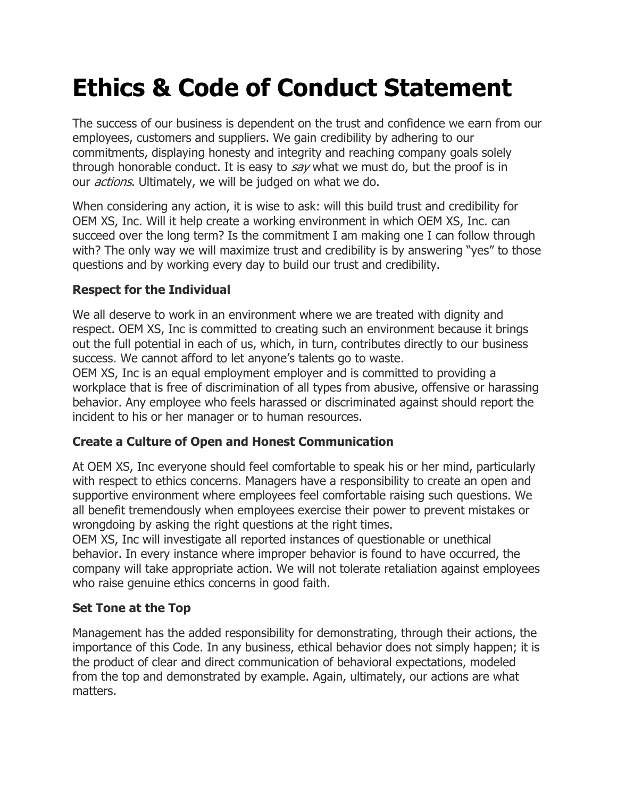# Ethics & Code of Conduct Statement

The success of our business is dependent on the trust and confidence we earn from our employees, customers and suppliers. We gain credibility by adhering to our commitments, displaying honesty and integrity and reaching company goals solely through honorable conduct. It is easy to say what we must do, but the proof is in our *actions*. Ultimately, we will be judged on what we do.

When considering any action, it is wise to ask: will this build trust and credibility for OEM XS, Inc. Will it help create a working environment in which OEM XS, Inc. can succeed over the long term? Is the commitment I am making one I can follow through with? The only way we will maximize trust and credibility is by answering "yes" to those questions and by working every day to build our trust and credibility.

# Respect for the Individual

We all deserve to work in an environment where we are treated with dignity and respect. OEM XS, Inc is committed to creating such an environment because it brings out the full potential in each of us, which, in turn, contributes directly to our business success. We cannot afford to let anyone's talents go to waste.

OEM XS, Inc is an equal employment employer and is committed to providing a workplace that is free of discrimination of all types from abusive, offensive or harassing behavior. Any employee who feels harassed or discriminated against should report the incident to his or her manager or to human resources.

# Create a Culture of Open and Honest Communication

At OEM XS, Inc everyone should feel comfortable to speak his or her mind, particularly with respect to ethics concerns. Managers have a responsibility to create an open and supportive environment where employees feel comfortable raising such questions. We all benefit tremendously when employees exercise their power to prevent mistakes or wrongdoing by asking the right questions at the right times.

OEM XS, Inc will investigate all reported instances of questionable or unethical behavior. In every instance where improper behavior is found to have occurred, the company will take appropriate action. We will not tolerate retaliation against employees who raise genuine ethics concerns in good faith.

## Set Tone at the Top

Management has the added responsibility for demonstrating, through their actions, the importance of this Code. In any business, ethical behavior does not simply happen; it is the product of clear and direct communication of behavioral expectations, modeled from the top and demonstrated by example. Again, ultimately, our actions are what matters.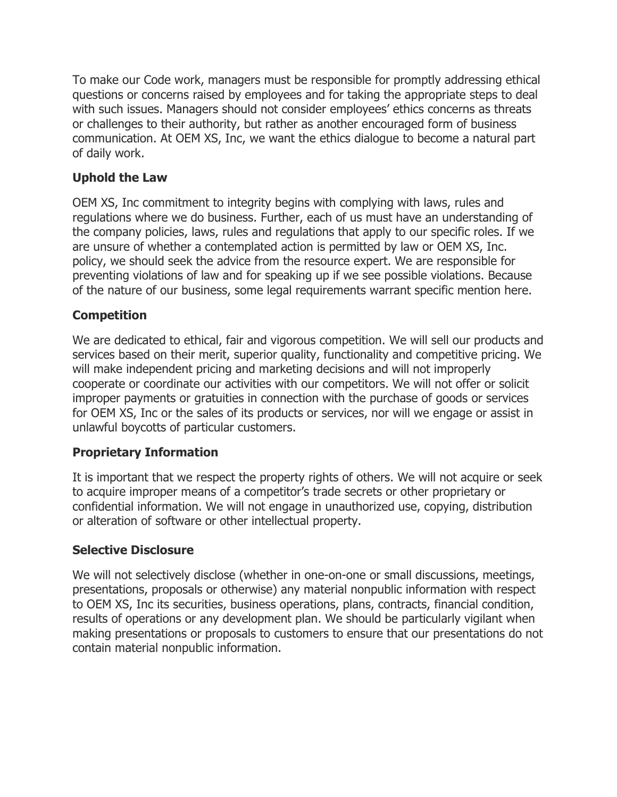To make our Code work, managers must be responsible for promptly addressing ethical questions or concerns raised by employees and for taking the appropriate steps to deal with such issues. Managers should not consider employees' ethics concerns as threats or challenges to their authority, but rather as another encouraged form of business communication. At OEM XS, Inc, we want the ethics dialogue to become a natural part of daily work.

## Uphold the Law

OEM XS, Inc commitment to integrity begins with complying with laws, rules and regulations where we do business. Further, each of us must have an understanding of the company policies, laws, rules and regulations that apply to our specific roles. If we are unsure of whether a contemplated action is permitted by law or OEM XS, Inc. policy, we should seek the advice from the resource expert. We are responsible for preventing violations of law and for speaking up if we see possible violations. Because of the nature of our business, some legal requirements warrant specific mention here.

# Competition

We are dedicated to ethical, fair and vigorous competition. We will sell our products and services based on their merit, superior quality, functionality and competitive pricing. We will make independent pricing and marketing decisions and will not improperly cooperate or coordinate our activities with our competitors. We will not offer or solicit improper payments or gratuities in connection with the purchase of goods or services for OEM XS, Inc or the sales of its products or services, nor will we engage or assist in unlawful boycotts of particular customers.

## Proprietary Information

It is important that we respect the property rights of others. We will not acquire or seek to acquire improper means of a competitor's trade secrets or other proprietary or confidential information. We will not engage in unauthorized use, copying, distribution or alteration of software or other intellectual property.

## Selective Disclosure

We will not selectively disclose (whether in one-on-one or small discussions, meetings, presentations, proposals or otherwise) any material nonpublic information with respect to OEM XS, Inc its securities, business operations, plans, contracts, financial condition, results of operations or any development plan. We should be particularly vigilant when making presentations or proposals to customers to ensure that our presentations do not contain material nonpublic information.